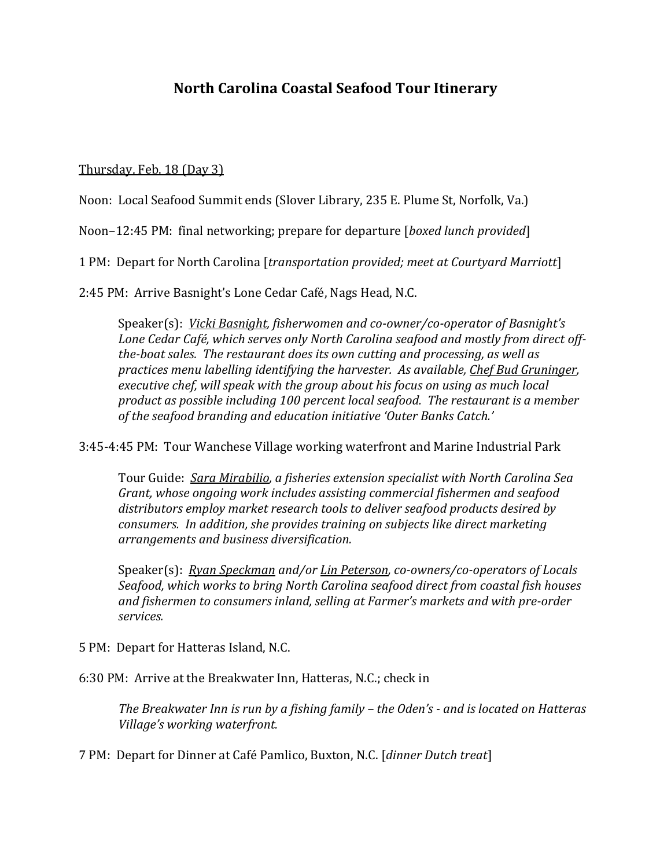# **North Carolina Coastal Seafood Tour Itinerary**

Thursday, Feb. 18 (Day 3)

Noon: Local Seafood Summit ends (Slover Library, 235 E. Plume St, Norfolk, Va.)

Noon–12:45 PM: final networking; prepare for departure [*boxed lunch provided*]

1 PM: Depart for North Carolina [*transportation provided; meet at Courtyard Marriott*]

2:45 PM: Arrive Basnight's Lone Cedar Café, Nags Head, N.C.

Speaker(s): *Vicki Basnight, fisherwomen and co-owner/co-operator of Basnight's Lone Cedar Café, which serves only North Carolina seafood and mostly from direct offthe-boat sales. The restaurant does its own cutting and processing, as well as practices menu labelling identifying the harvester. As available, Chef Bud Gruninger, executive chef, will speak with the group about his focus on using as much local product as possible including 100 percent local seafood. The restaurant is a member of the seafood branding and education initiative 'Outer Banks Catch.'* 

3:45-4:45 PM: Tour Wanchese Village working waterfront and Marine Industrial Park

Tour Guide: *Sara Mirabilio, a fisheries extension specialist with North Carolina Sea Grant, whose ongoing work includes assisting commercial fishermen and seafood distributors employ market research tools to deliver seafood products desired by consumers. In addition, she provides training on subjects like direct marketing arrangements and business diversification.* 

Speaker(s): *Ryan Speckman and/or Lin Peterson, co-owners/co-operators of Locals Seafood, which works to bring North Carolina seafood direct from coastal fish houses and fishermen to consumers inland, selling at Farmer's markets and with pre-order services.* 

5 PM: Depart for Hatteras Island, N.C.

6:30 PM: Arrive at the Breakwater Inn, Hatteras, N.C.; check in

*The Breakwater Inn is run by a fishing family – the Oden's - and is located on Hatteras Village's working waterfront.* 

7 PM: Depart for Dinner at Café Pamlico, Buxton, N.C. [*dinner Dutch treat*]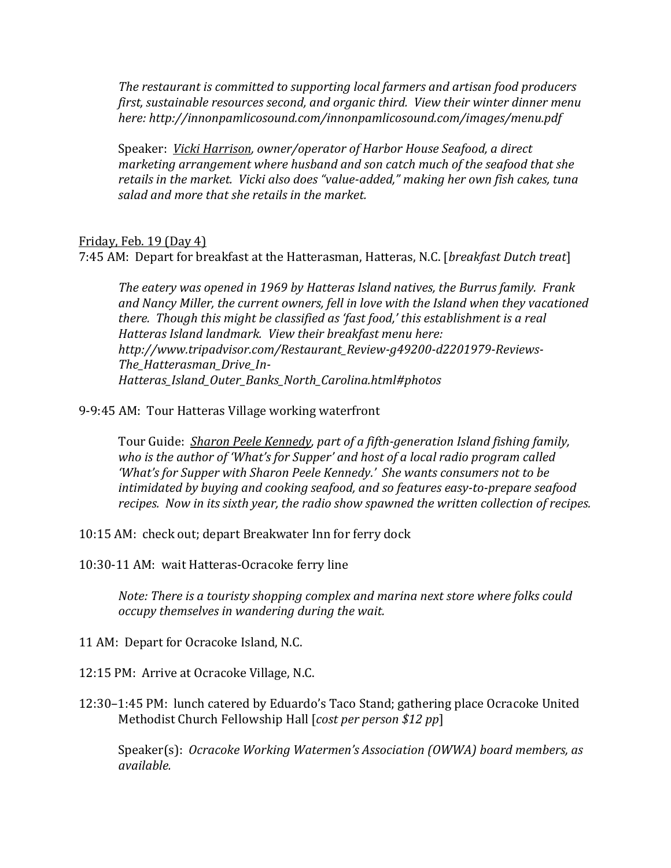*The restaurant is committed to supporting local farmers and artisan food producers first, sustainable resources second, and organic third. View their winter dinner menu here: http://innonpamlicosound.com/innonpamlicosound.com/images/menu.pdf*

Speaker: *Vicki Harrison, owner/operator of Harbor House Seafood, a direct marketing arrangement where husband and son catch much of the seafood that she retails in the market. Vicki also does "value-added," making her own fish cakes, tuna salad and more that she retails in the market.*

## Friday, Feb. 19 (Day 4)

7:45 AM: Depart for breakfast at the Hatterasman, Hatteras, N.C. [*breakfast Dutch treat*]

*The eatery was opened in 1969 by Hatteras Island natives, the Burrus family. Frank and Nancy Miller, the current owners, fell in love with the Island when they vacationed there. Though this might be classified as 'fast food,' this establishment is a real Hatteras Island landmark. View their breakfast menu here: http://www.tripadvisor.com/Restaurant\_Review-g49200-d2201979-Reviews-The\_Hatterasman\_Drive\_In-Hatteras\_Island\_Outer\_Banks\_North\_Carolina.html#photos*

## 9-9:45 AM: Tour Hatteras Village working waterfront

Tour Guide: *Sharon Peele Kennedy, part of a fifth-generation Island fishing family, who is the author of 'What's for Supper' and host of a local radio program called 'What's for Supper with Sharon Peele Kennedy.' She wants consumers not to be intimidated by buying and cooking seafood, and so features easy-to-prepare seafood recipes. Now in its sixth year, the radio show spawned the written collection of recipes.*

10:15 AM: check out; depart Breakwater Inn for ferry dock

10:30-11 AM: wait Hatteras-Ocracoke ferry line

*Note: There is a touristy shopping complex and marina next store where folks could occupy themselves in wandering during the wait.* 

11 AM: Depart for Ocracoke Island, N.C.

12:15 PM: Arrive at Ocracoke Village, N.C.

12:30–1:45 PM: lunch catered by Eduardo's Taco Stand; gathering place Ocracoke United Methodist Church Fellowship Hall [*cost per person \$12 pp*]

Speaker(s): *Ocracoke Working Watermen's Association (OWWA) board members, as available.*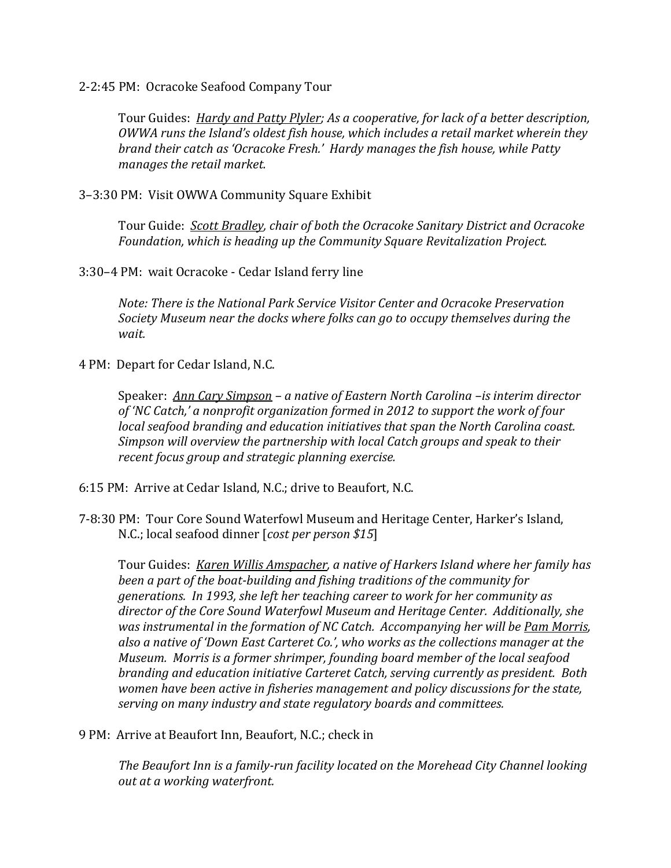2-2:45 PM: Ocracoke Seafood Company Tour

Tour Guides: *Hardy and Patty Plyler; As a cooperative, for lack of a better description, OWWA runs the Island's oldest fish house, which includes a retail market wherein they brand their catch as 'Ocracoke Fresh.' Hardy manages the fish house, while Patty manages the retail market.*

3–3:30 PM: Visit OWWA Community Square Exhibit

Tour Guide: *Scott Bradley, chair of both the Ocracoke Sanitary District and Ocracoke Foundation, which is heading up the Community Square Revitalization Project.*

3:30–4 PM: wait Ocracoke - Cedar Island ferry line

*Note: There is the National Park Service Visitor Center and Ocracoke Preservation Society Museum near the docks where folks can go to occupy themselves during the wait.*

4 PM: Depart for Cedar Island, N.C.

Speaker: *Ann Cary Simpson – a native of Eastern North Carolina –is interim director of 'NC Catch,' a nonprofit organization formed in 2012 to support the work of four local seafood branding and education initiatives that span the North Carolina coast. Simpson will overview the partnership with local Catch groups and speak to their recent focus group and strategic planning exercise.*

6:15 PM: Arrive at Cedar Island, N.C.; drive to Beaufort, N.C.

7-8:30 PM: Tour Core Sound Waterfowl Museum and Heritage Center, Harker's Island, N.C.; local seafood dinner [*cost per person \$15*]

Tour Guides: *Karen Willis Amspacher, a native of Harkers Island where her family has been a part of the boat-building and fishing traditions of the community for generations. In 1993, she left her teaching career to work for her community as director of the Core Sound Waterfowl Museum and Heritage Center. Additionally, she was instrumental in the formation of NC Catch. Accompanying her will be Pam Morris, also a native of 'Down East Carteret Co.', who works as the collections manager at the Museum. Morris is a former shrimper, founding board member of the local seafood branding and education initiative Carteret Catch, serving currently as president. Both women have been active in fisheries management and policy discussions for the state, serving on many industry and state regulatory boards and committees.*

9 PM: Arrive at Beaufort Inn, Beaufort, N.C.; check in

*The Beaufort Inn is a family-run facility located on the Morehead City Channel looking out at a working waterfront.*